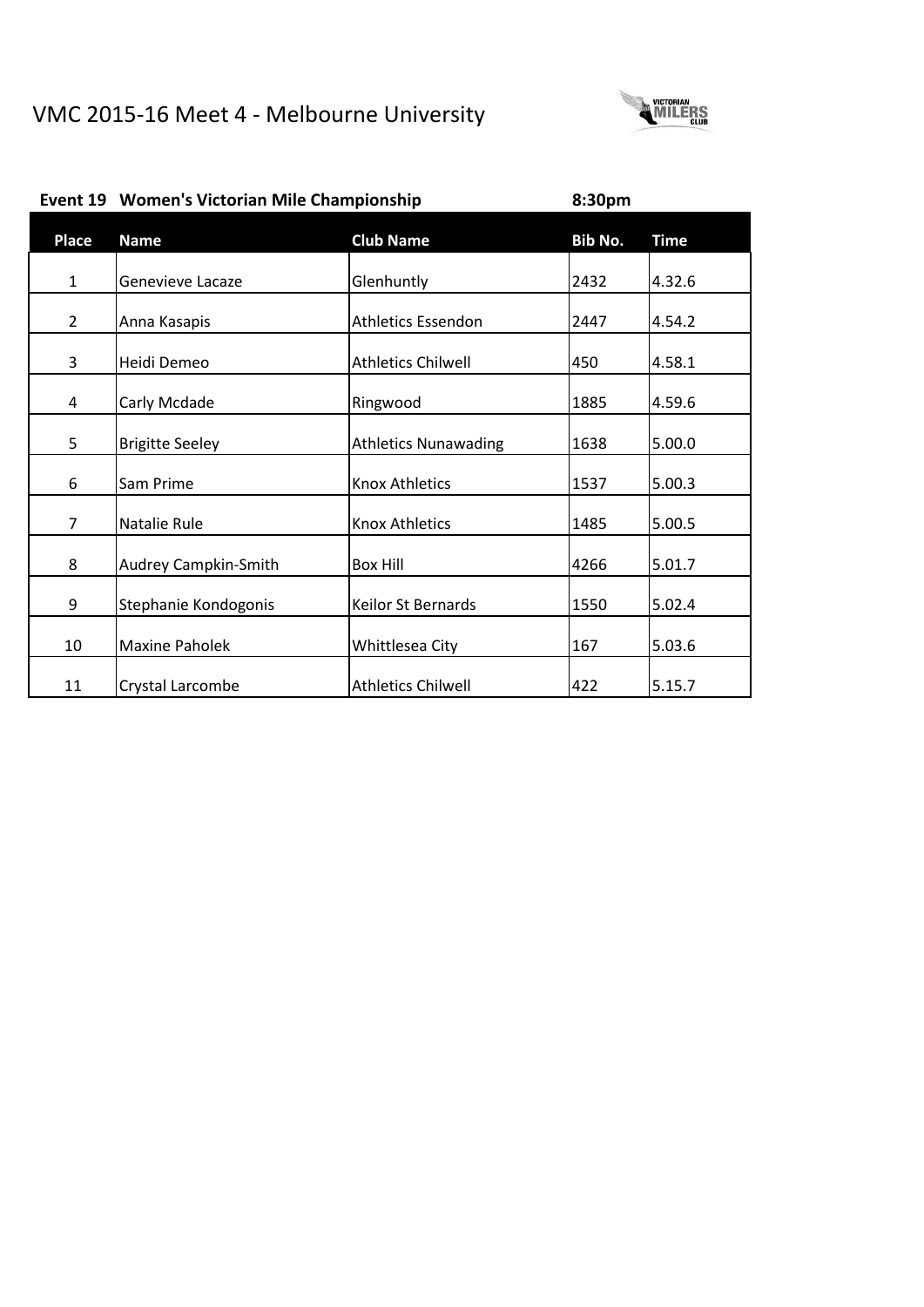

| Place          | <b>Name</b>            | <b>Club Name</b>            | Bib No. | <b>Time</b> |
|----------------|------------------------|-----------------------------|---------|-------------|
| $\mathbf{1}$   | Genevieve Lacaze       | Glenhuntly                  | 2432    | 4.32.6      |
| $\overline{2}$ | Anna Kasapis           | <b>Athletics Essendon</b>   | 2447    | 4.54.2      |
| 3              | Heidi Demeo            | <b>Athletics Chilwell</b>   | 450     | 4.58.1      |
| 4              | Carly Mcdade           | Ringwood                    | 1885    | 4.59.6      |
| 5              | <b>Brigitte Seeley</b> | <b>Athletics Nunawading</b> | 1638    | 5.00.0      |
| 6              | Sam Prime              | <b>Knox Athletics</b>       | 1537    | 5.00.3      |
| $\overline{7}$ | Natalie Rule           | <b>Knox Athletics</b>       | 1485    | 5.00.5      |
| 8              | Audrey Campkin-Smith   | <b>Box Hill</b>             | 4266    | 5.01.7      |
| 9              | Stephanie Kondogonis   | <b>Keilor St Bernards</b>   | 1550    | 5.02.4      |
| 10             | <b>Maxine Paholek</b>  | Whittlesea City             | 167     | 5.03.6      |
| 11             | Crystal Larcombe       | <b>Athletics Chilwell</b>   | 422     | 5.15.7      |

# **Event 19 Women's Victorian Mile Championship 8:30pm**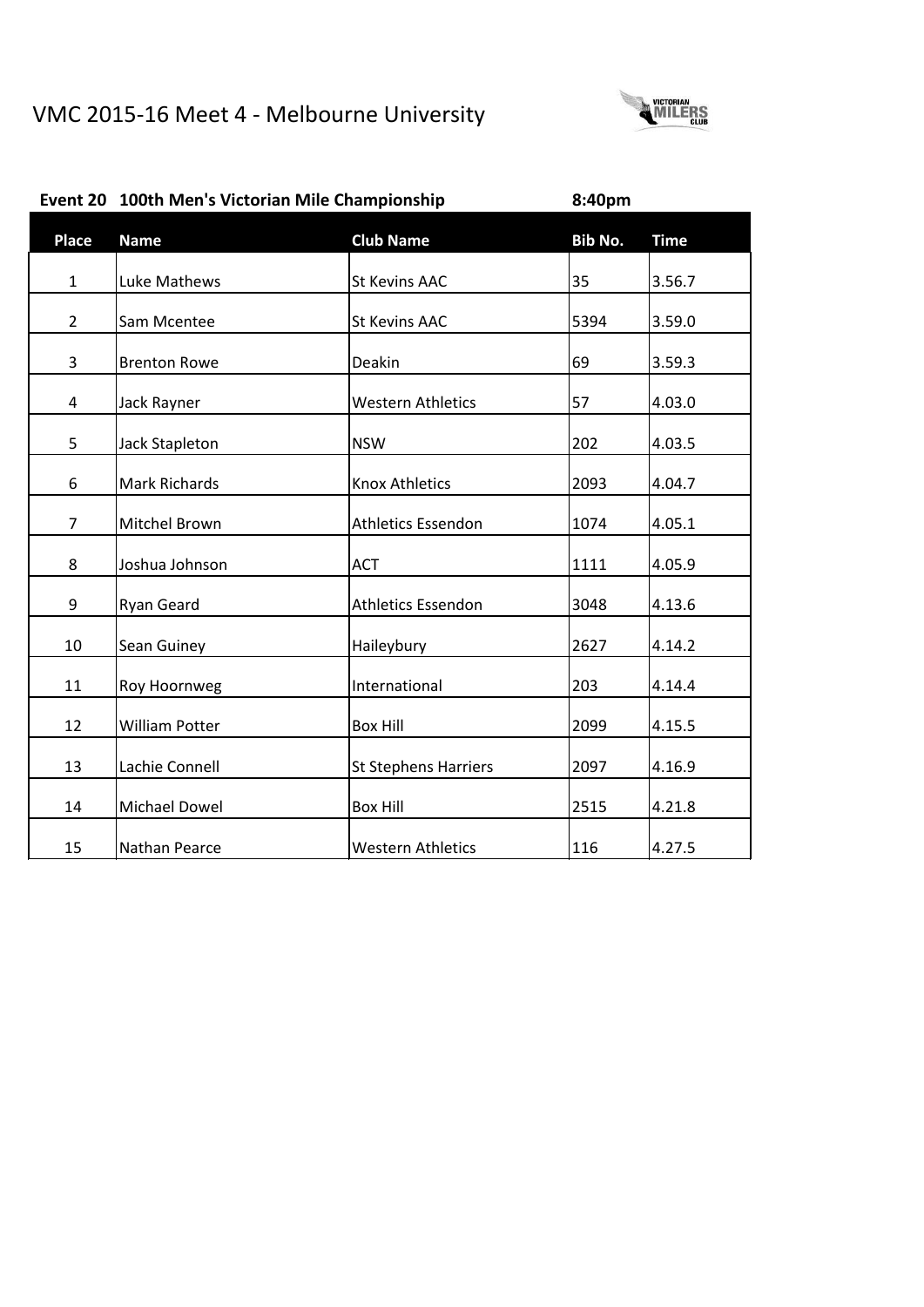

|                | Event 20 100th Men's Victorian Mile Championship |                             | 8:40pm  |             |
|----------------|--------------------------------------------------|-----------------------------|---------|-------------|
| <b>Place</b>   | <b>Name</b>                                      | <b>Club Name</b>            | Bib No. | <b>Time</b> |
| $\mathbf{1}$   | Luke Mathews                                     | <b>St Kevins AAC</b>        | 35      | 3.56.7      |
| $\overline{2}$ | Sam Mcentee                                      | <b>St Kevins AAC</b>        | 5394    | 3.59.0      |
| 3              | <b>Brenton Rowe</b>                              | Deakin                      | 69      | 3.59.3      |
| $\overline{4}$ | Jack Rayner                                      | <b>Western Athletics</b>    | 57      | 4.03.0      |
| 5              | <b>Jack Stapleton</b>                            | <b>NSW</b>                  | 202     | 4.03.5      |
| 6              | <b>Mark Richards</b>                             | <b>Knox Athletics</b>       | 2093    | 4.04.7      |
| $\overline{7}$ | Mitchel Brown                                    | <b>Athletics Essendon</b>   | 1074    | 4.05.1      |
| 8              | Joshua Johnson                                   | <b>ACT</b>                  | 1111    | 4.05.9      |
| 9              | Ryan Geard                                       | <b>Athletics Essendon</b>   | 3048    | 4.13.6      |
| 10             | Sean Guiney                                      | Haileybury                  | 2627    | 4.14.2      |
| 11             | Roy Hoornweg                                     | International               | 203     | 4.14.4      |
| 12             | <b>William Potter</b>                            | <b>Box Hill</b>             | 2099    | 4.15.5      |
| 13             | Lachie Connell                                   | <b>St Stephens Harriers</b> | 2097    | 4.16.9      |
| 14             | Michael Dowel                                    | <b>Box Hill</b>             | 2515    | 4.21.8      |
| 15             | Nathan Pearce                                    | <b>Western Athletics</b>    | 116     | 4.27.5      |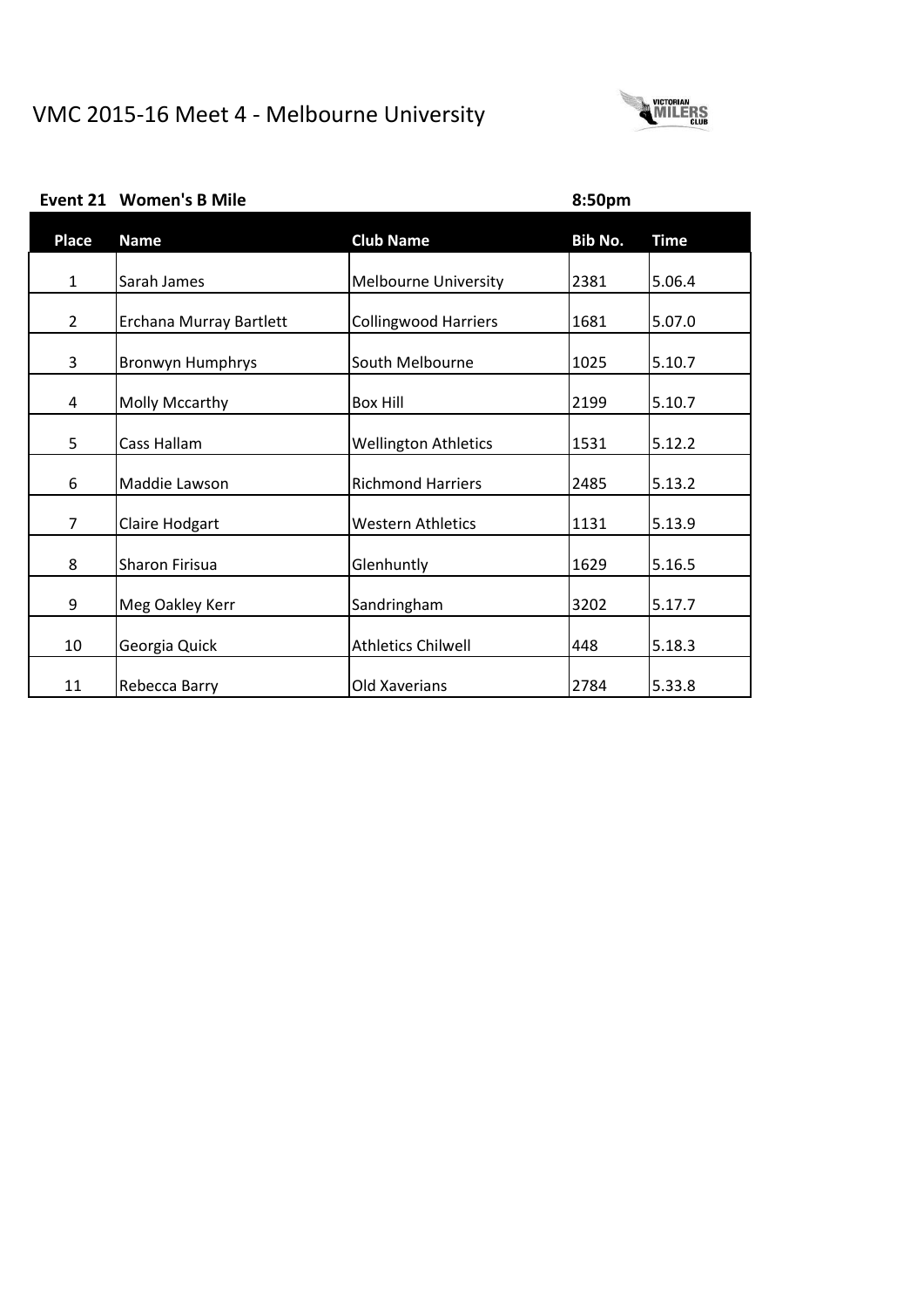

**Event 21 Women's B Mile 8:50pm**

|  | <b>Event 21 Women's B Mile</b> |  |
|--|--------------------------------|--|
|--|--------------------------------|--|

| Place          | <b>Name</b>             | <b>Club Name</b>            | Bib No. | <b>Time</b> |
|----------------|-------------------------|-----------------------------|---------|-------------|
|                |                         |                             |         |             |
| $\mathbf{1}$   | Sarah James             | <b>Melbourne University</b> | 2381    | 5.06.4      |
| $\overline{2}$ | Erchana Murray Bartlett | <b>Collingwood Harriers</b> | 1681    | 5.07.0      |
| 3              | <b>Bronwyn Humphrys</b> | South Melbourne             | 1025    | 5.10.7      |
| 4              | Molly Mccarthy          | Box Hill                    | 2199    | 5.10.7      |
| 5              | Cass Hallam             | <b>Wellington Athletics</b> | 1531    | 5.12.2      |
| 6              | Maddie Lawson           | <b>Richmond Harriers</b>    | 2485    | 5.13.2      |
| 7              | Claire Hodgart          | Western Athletics           | 1131    | 5.13.9      |
| 8              | <b>Sharon Firisua</b>   | Glenhuntly                  | 1629    | 5.16.5      |
| 9              | Meg Oakley Kerr         | Sandringham                 | 3202    | 5.17.7      |
| 10             | Georgia Quick           | <b>Athletics Chilwell</b>   | 448     | 5.18.3      |
| 11             | Rebecca Barry           | Old Xaverians               | 2784    | 5.33.8      |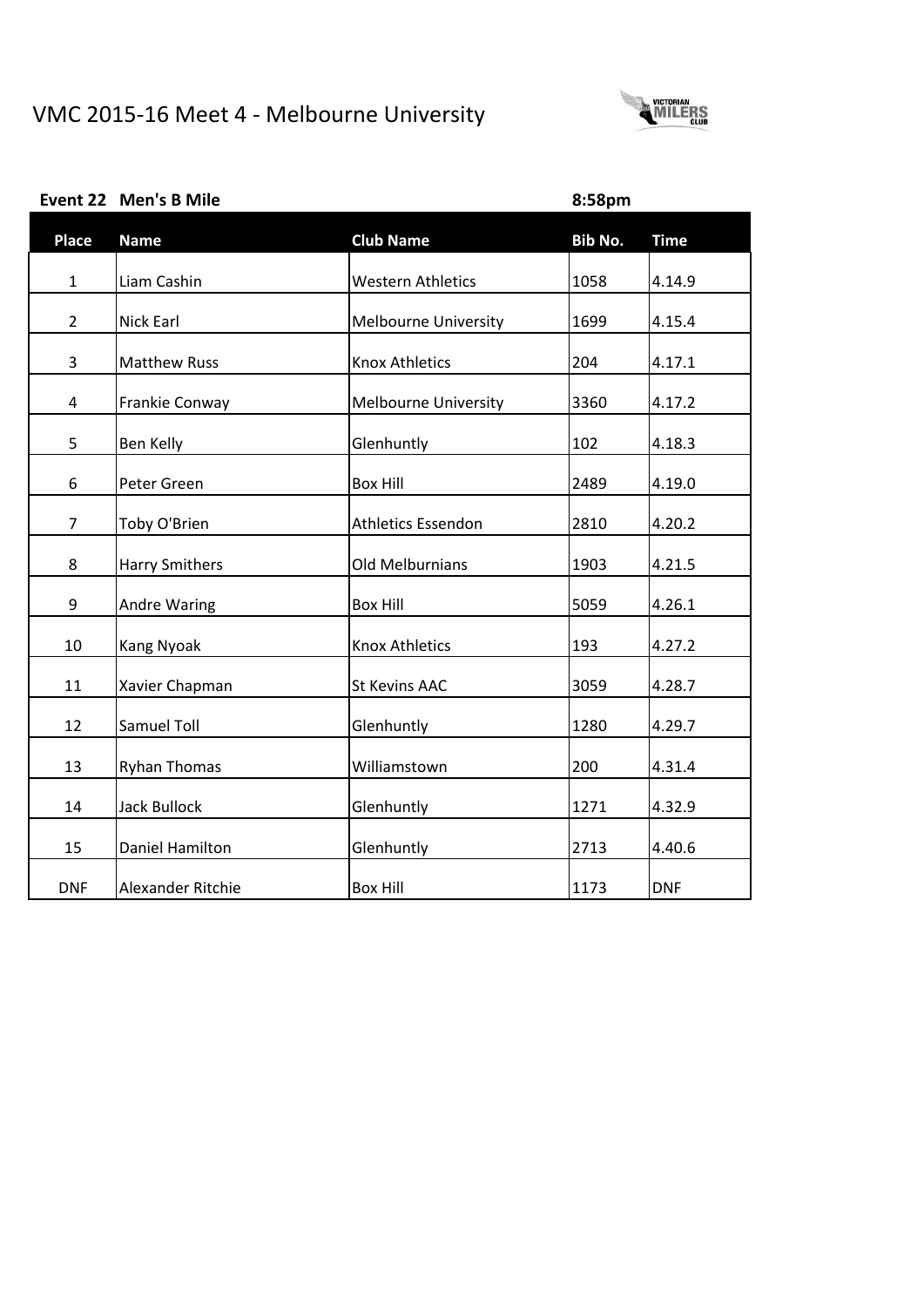

|  | Event 22 Men's B Mile |  |
|--|-----------------------|--|
|--|-----------------------|--|

**Event 22 Men's B Mile 8:58pm**

| <b>Place</b>   | <b>Name</b>           | <b>Club Name</b>            | Bib No. | <b>Time</b> |
|----------------|-----------------------|-----------------------------|---------|-------------|
| $\mathbf{1}$   | Liam Cashin           | <b>Western Athletics</b>    | 1058    | 4.14.9      |
| $\overline{2}$ | Nick Earl             | <b>Melbourne University</b> | 1699    | 4.15.4      |
| 3              | <b>Matthew Russ</b>   | <b>Knox Athletics</b>       | 204     | 4.17.1      |
| 4              | Frankie Conway        | <b>Melbourne University</b> | 3360    | 4.17.2      |
| 5              | Ben Kelly             | Glenhuntly                  | 102     | 4.18.3      |
| 6              | Peter Green           | <b>Box Hill</b>             | 2489    | 4.19.0      |
| $\overline{7}$ | Toby O'Brien          | <b>Athletics Essendon</b>   | 2810    | 4.20.2      |
| 8              | <b>Harry Smithers</b> | Old Melburnians             | 1903    | 4.21.5      |
| 9              | Andre Waring          | <b>Box Hill</b>             | 5059    | 4.26.1      |
| 10             | Kang Nyoak            | <b>Knox Athletics</b>       | 193     | 4.27.2      |
| 11             |                       | <b>St Kevins AAC</b>        | 3059    |             |
|                | Xavier Chapman        |                             |         | 4.28.7      |
| 12             | Samuel Toll           | Glenhuntly                  | 1280    | 4.29.7      |
| 13             | <b>Ryhan Thomas</b>   | Williamstown                | 200     | 4.31.4      |
| 14             | <b>Jack Bullock</b>   | Glenhuntly                  | 1271    | 4.32.9      |
| 15             | Daniel Hamilton       | Glenhuntly                  | 2713    | 4.40.6      |
| <b>DNF</b>     | Alexander Ritchie     | <b>Box Hill</b>             | 1173    | <b>DNF</b>  |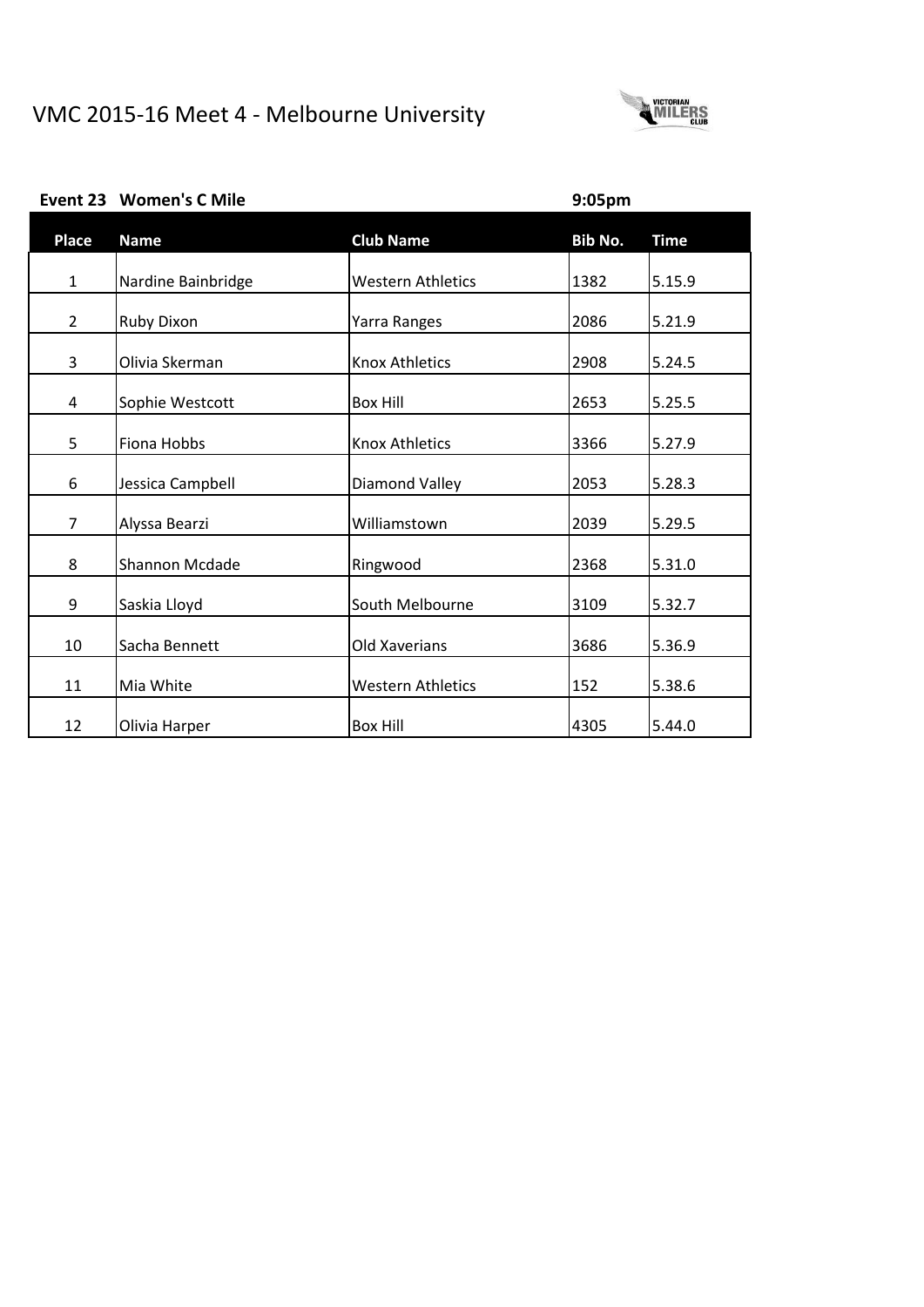

|  | Event 23 Women's C Mile |  |
|--|-------------------------|--|
|--|-------------------------|--|

**Event 23 Women's C Mile 9:05pm**

| <b>Place</b>   | <b>Name</b>        | <b>Club Name</b>         | Bib No. | <b>Time</b> |
|----------------|--------------------|--------------------------|---------|-------------|
| $\mathbf{1}$   | Nardine Bainbridge | <b>Western Athletics</b> | 1382    | 5.15.9      |
| $\overline{2}$ | <b>Ruby Dixon</b>  | Yarra Ranges             | 2086    | 5.21.9      |
| 3              | Olivia Skerman     | <b>Knox Athletics</b>    | 2908    | 5.24.5      |
| 4              | Sophie Westcott    | <b>Box Hill</b>          | 2653    | 5.25.5      |
| 5              | Fiona Hobbs        | <b>Knox Athletics</b>    | 3366    | 5.27.9      |
| 6              | Jessica Campbell   | <b>Diamond Valley</b>    | 2053    | 5.28.3      |
| $\overline{7}$ | Alyssa Bearzi      | Williamstown             | 2039    | 5.29.5      |
| 8              | Shannon Mcdade     | Ringwood                 | 2368    | 5.31.0      |
| 9              | Saskia Lloyd       | South Melbourne          | 3109    | 5.32.7      |
| 10             | Sacha Bennett      | Old Xaverians            | 3686    | 5.36.9      |
| 11             | Mia White          | <b>Western Athletics</b> | 152     | 5.38.6      |
| 12             | Olivia Harper      | <b>Box Hill</b>          | 4305    | 5.44.0      |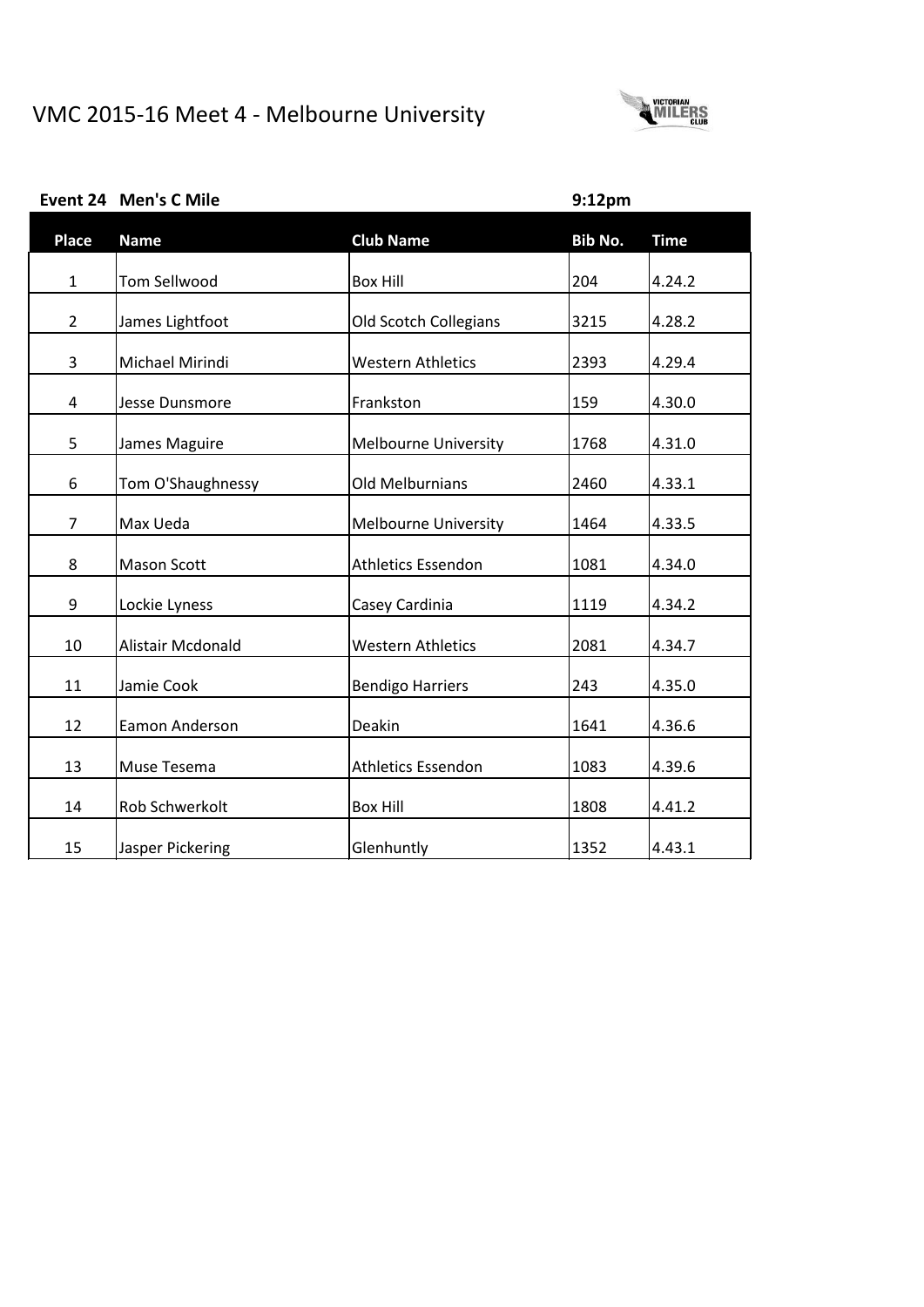

| <b>Place</b>   | <b>Name</b>         | <b>Club Name</b>            | <b>Bib No.</b> | <b>Time</b> |
|----------------|---------------------|-----------------------------|----------------|-------------|
| $\mathbf{1}$   | <b>Tom Sellwood</b> | <b>Box Hill</b>             | 204            | 4.24.2      |
|                |                     |                             |                |             |
| $\overline{2}$ | James Lightfoot     | Old Scotch Collegians       | 3215           | 4.28.2      |
| 3              | Michael Mirindi     | <b>Western Athletics</b>    | 2393           | 4.29.4      |
| 4              | Jesse Dunsmore      | Frankston                   | 159            | 4.30.0      |
| 5              | James Maguire       | <b>Melbourne University</b> | 1768           | 4.31.0      |
| 6              | Tom O'Shaughnessy   | Old Melburnians             | 2460           | 4.33.1      |
| $\overline{7}$ | Max Ueda            | <b>Melbourne University</b> | 1464           | 4.33.5      |
| 8              | <b>Mason Scott</b>  | <b>Athletics Essendon</b>   | 1081           | 4.34.0      |
| 9              | Lockie Lyness       | Casey Cardinia              | 1119           | 4.34.2      |
| 10             | Alistair Mcdonald   | <b>Western Athletics</b>    | 2081           | 4.34.7      |
| 11             | Jamie Cook          | <b>Bendigo Harriers</b>     | 243            | 4.35.0      |
| 12             | Eamon Anderson      | Deakin                      | 1641           | 4.36.6      |
| 13             | Muse Tesema         | <b>Athletics Essendon</b>   | 1083           | 4.39.6      |
| 14             | Rob Schwerkolt      | <b>Box Hill</b>             | 1808           | 4.41.2      |
| 15             | Jasper Pickering    | Glenhuntly                  | 1352           | 4.43.1      |

### **Event 24 Men's C Mile 9:12pm**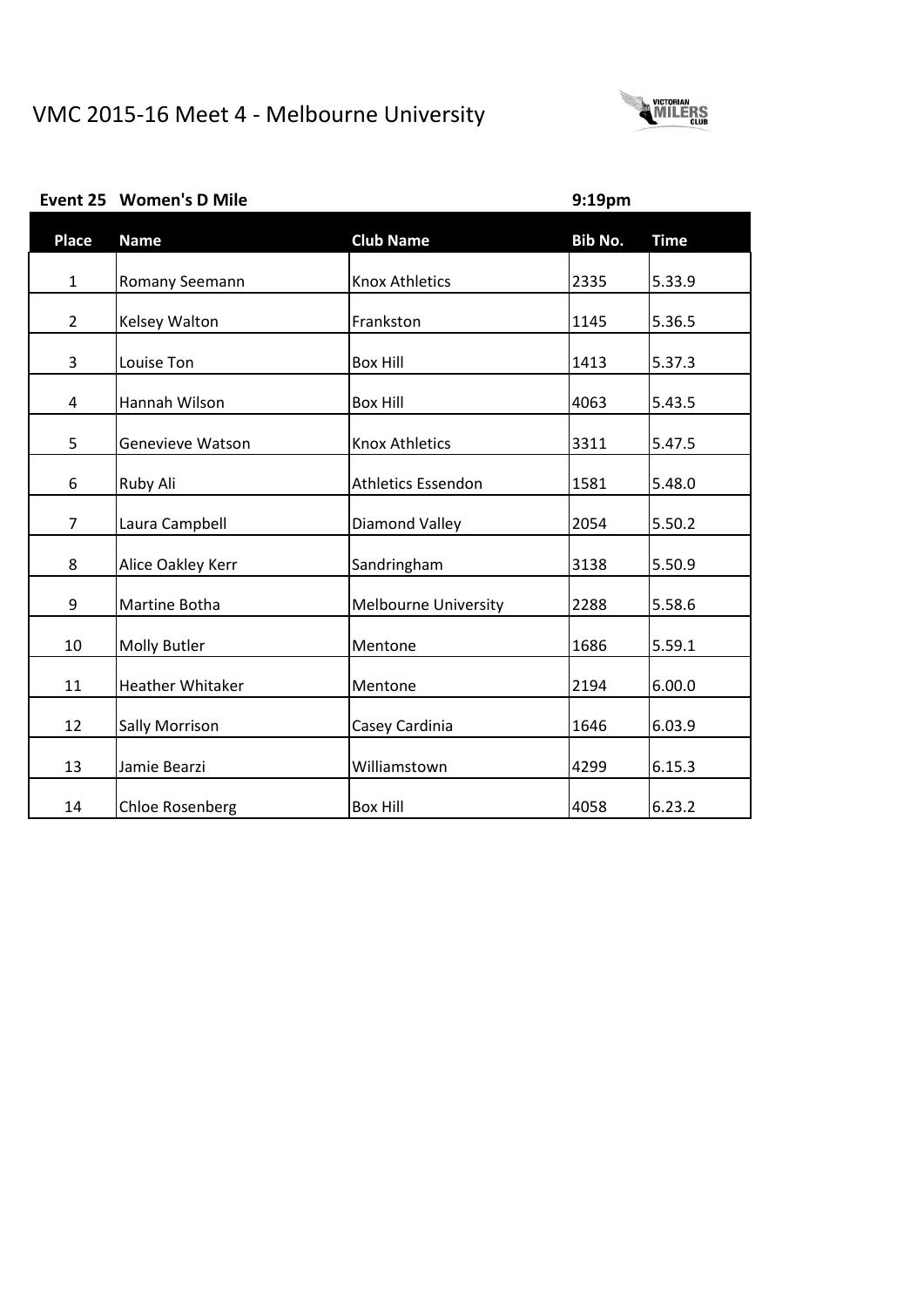

# **Place Name Club Name Bib No. Time** 1 Romany Seemann Knox Athletics 2335 5.33.9 2 Kelsey Walton **Frankston** Frankston 1145 5.36.5 3 | Louise Ton | Box Hill | 1413 | 5.37.3 4 | Hannah Wilson | Box Hill | 2063 | 5.43.5 5 Genevieve Watson Knox Athletics 3311 5.47.5 6 Ruby Ali Athletics Essendon 1581 5.48.0 7 | Laura Campbell | Diamond Valley | 2054 | 5.50.2 8 | Alice Oakley Kerr | Sandringham | 3138 | 5.50.9 9 | Martine Botha | Melbourne University | 2288 | 5.58.6 10 | Molly Butler | Mentone | Mentone | 1686 | 5.59.1 11 | Heather Whitaker | Mentone | 2194 | 6.00.0 12 | Sally Morrison | Casey Cardinia | 1646 | 6.03.9 13 Jamie Bearzi Williamstown 4299 6.15.3 14 Chloe Rosenberg Box Hill 14058 6.23.2

#### **Event 25 Women's D Mile 9:19pm**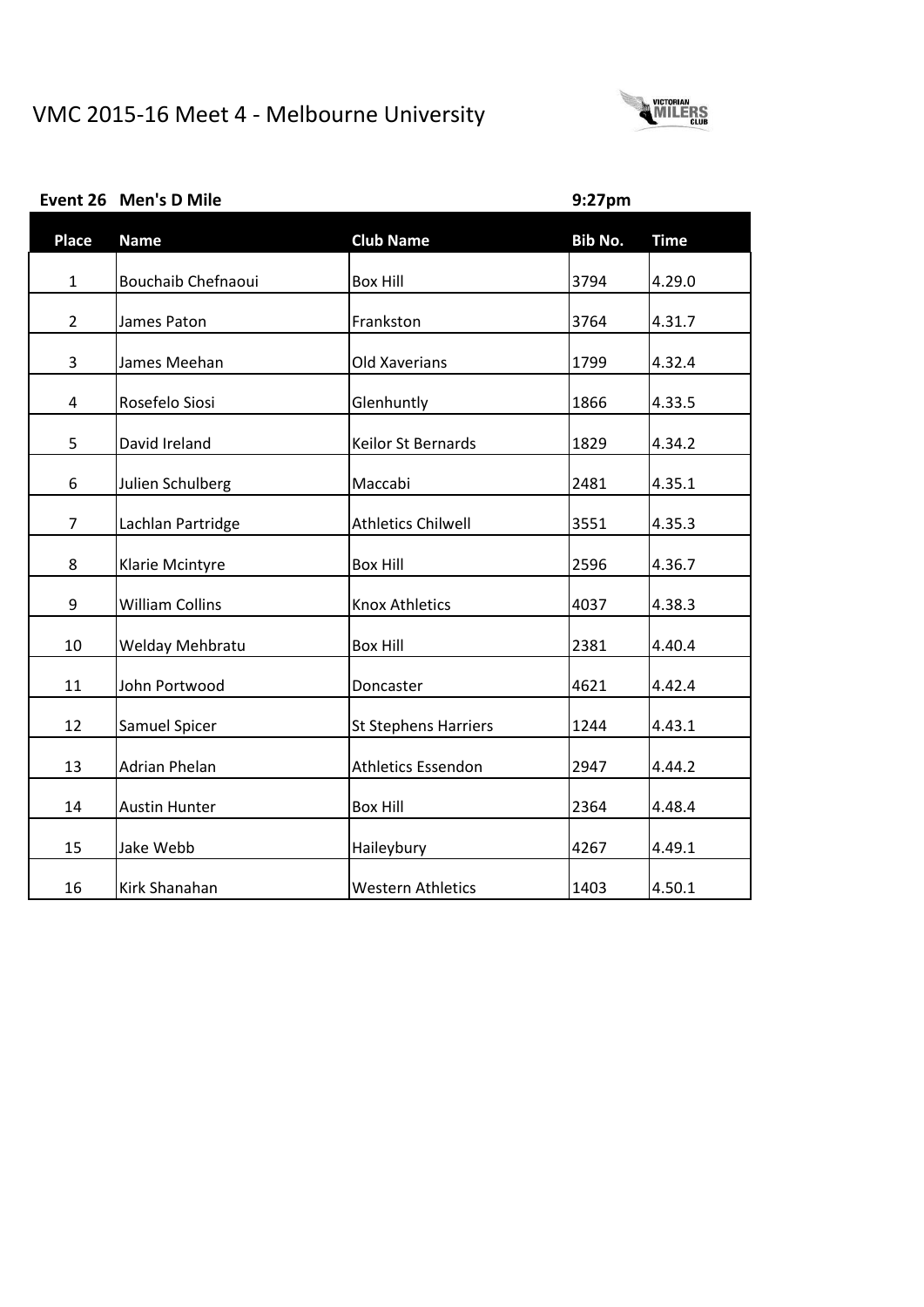# VMC 2015-16 Meet 4 - Melbourne University



| <b>Place</b>   | <b>Name</b>            | <b>Club Name</b>            | Bib No. | <b>Time</b> |
|----------------|------------------------|-----------------------------|---------|-------------|
| $\mathbf{1}$   | Bouchaib Chefnaoui     | <b>Box Hill</b>             | 3794    | 4.29.0      |
| $\overline{2}$ | James Paton            | Frankston                   | 3764    | 4.31.7      |
| 3              | James Meehan           | <b>Old Xaverians</b>        | 1799    | 4.32.4      |
| 4              | Rosefelo Siosi         | Glenhuntly                  | 1866    | 4.33.5      |
| 5              | David Ireland          | Keilor St Bernards          | 1829    | 4.34.2      |
| 6              | Julien Schulberg       | Maccabi                     | 2481    | 4.35.1      |
|                |                        | <b>Athletics Chilwell</b>   |         |             |
| 7              | Lachlan Partridge      |                             | 3551    | 4.35.3      |
| 8              | Klarie Mcintyre        | <b>Box Hill</b>             | 2596    | 4.36.7      |
| 9              | <b>William Collins</b> | <b>Knox Athletics</b>       | 4037    | 4.38.3      |
| 10             | Welday Mehbratu        | <b>Box Hill</b>             | 2381    | 4.40.4      |
| 11             | John Portwood          | Doncaster                   | 4621    | 4.42.4      |
| 12             | Samuel Spicer          | <b>St Stephens Harriers</b> | 1244    | 4.43.1      |
| 13             | Adrian Phelan          | <b>Athletics Essendon</b>   | 2947    | 4.44.2      |
| 14             | <b>Austin Hunter</b>   | <b>Box Hill</b>             | 2364    | 4.48.4      |
| 15             | Jake Webb              | Haileybury                  | 4267    | 4.49.1      |
| 16             | Kirk Shanahan          | <b>Western Athletics</b>    | 1403    | 4.50.1      |

# **Event 26 Men's D Mile 9:27pm**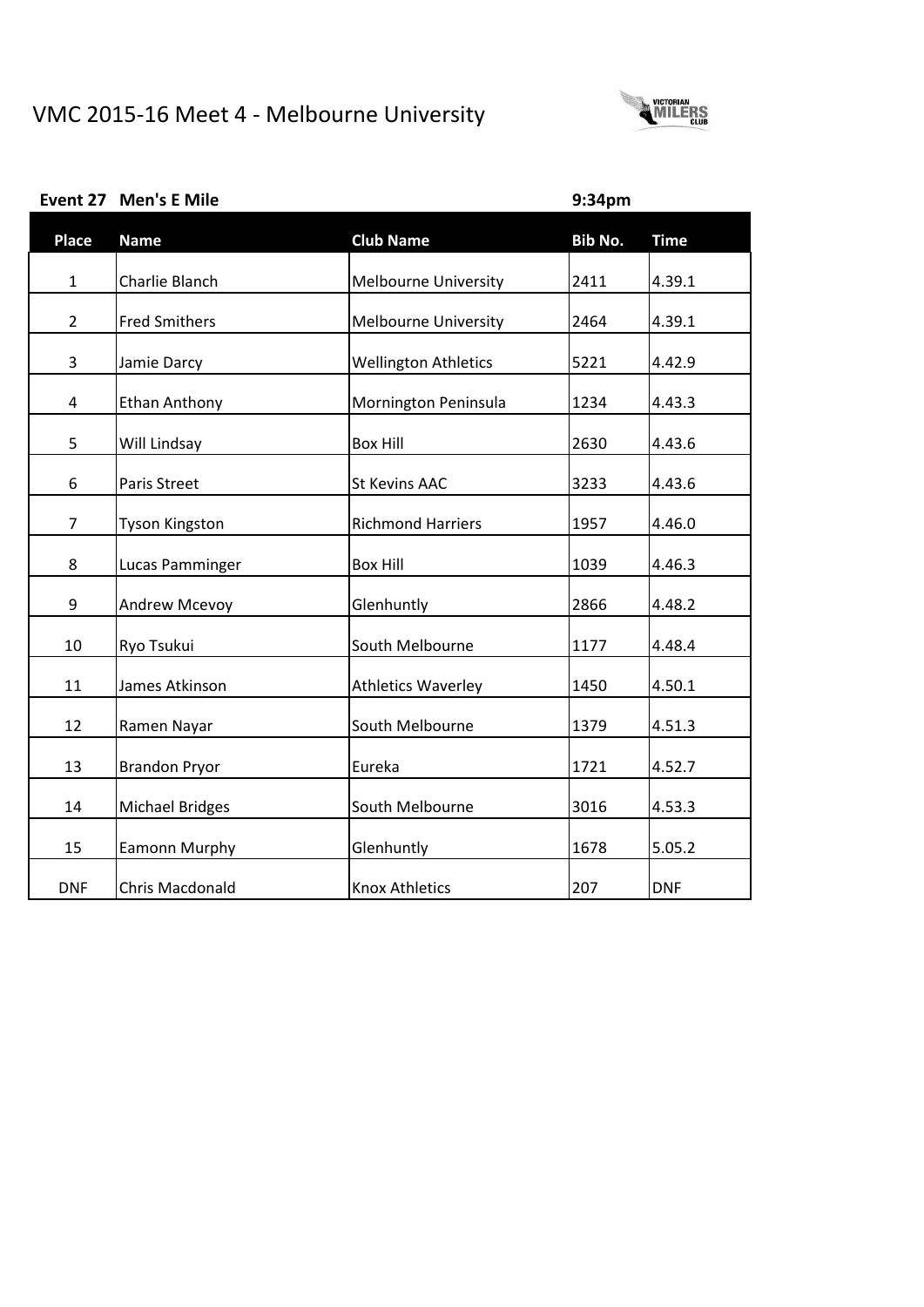**Event 27 Men's E Mile 9:34pm**



| <b>Place</b>     | <b>Name</b>            | <b>Club Name</b>            | Bib No. | <b>Time</b> |
|------------------|------------------------|-----------------------------|---------|-------------|
| $\mathbf{1}$     | Charlie Blanch         | <b>Melbourne University</b> | 2411    | 4.39.1      |
| $\overline{2}$   | <b>Fred Smithers</b>   | <b>Melbourne University</b> | 2464    | 4.39.1      |
| 3                | Jamie Darcy            | <b>Wellington Athletics</b> | 5221    | 4.42.9      |
| 4                | <b>Ethan Anthony</b>   | Mornington Peninsula        | 1234    | 4.43.3      |
| 5                | Will Lindsay           | <b>Box Hill</b>             | 2630    | 4.43.6      |
| 6                | Paris Street           | <b>St Kevins AAC</b>        | 3233    | 4.43.6      |
| $\overline{7}$   | <b>Tyson Kingston</b>  | <b>Richmond Harriers</b>    | 1957    | 4.46.0      |
| 8                | Lucas Pamminger        | <b>Box Hill</b>             | 1039    | 4.46.3      |
| $\boldsymbol{9}$ | <b>Andrew Mcevoy</b>   | Glenhuntly                  | 2866    | 4.48.2      |
| 10               | Ryo Tsukui             | South Melbourne             | 1177    | 4.48.4      |
| 11               | James Atkinson         | <b>Athletics Waverley</b>   | 1450    | 4.50.1      |
| 12               | Ramen Nayar            | South Melbourne             | 1379    | 4.51.3      |
| 13               | <b>Brandon Pryor</b>   | Eureka                      | 1721    | 4.52.7      |
| 14               | <b>Michael Bridges</b> | South Melbourne             | 3016    | 4.53.3      |
| 15               | <b>Eamonn Murphy</b>   | Glenhuntly                  | 1678    | 5.05.2      |
| <b>DNF</b>       | Chris Macdonald        | <b>Knox Athletics</b>       | 207     | <b>DNF</b>  |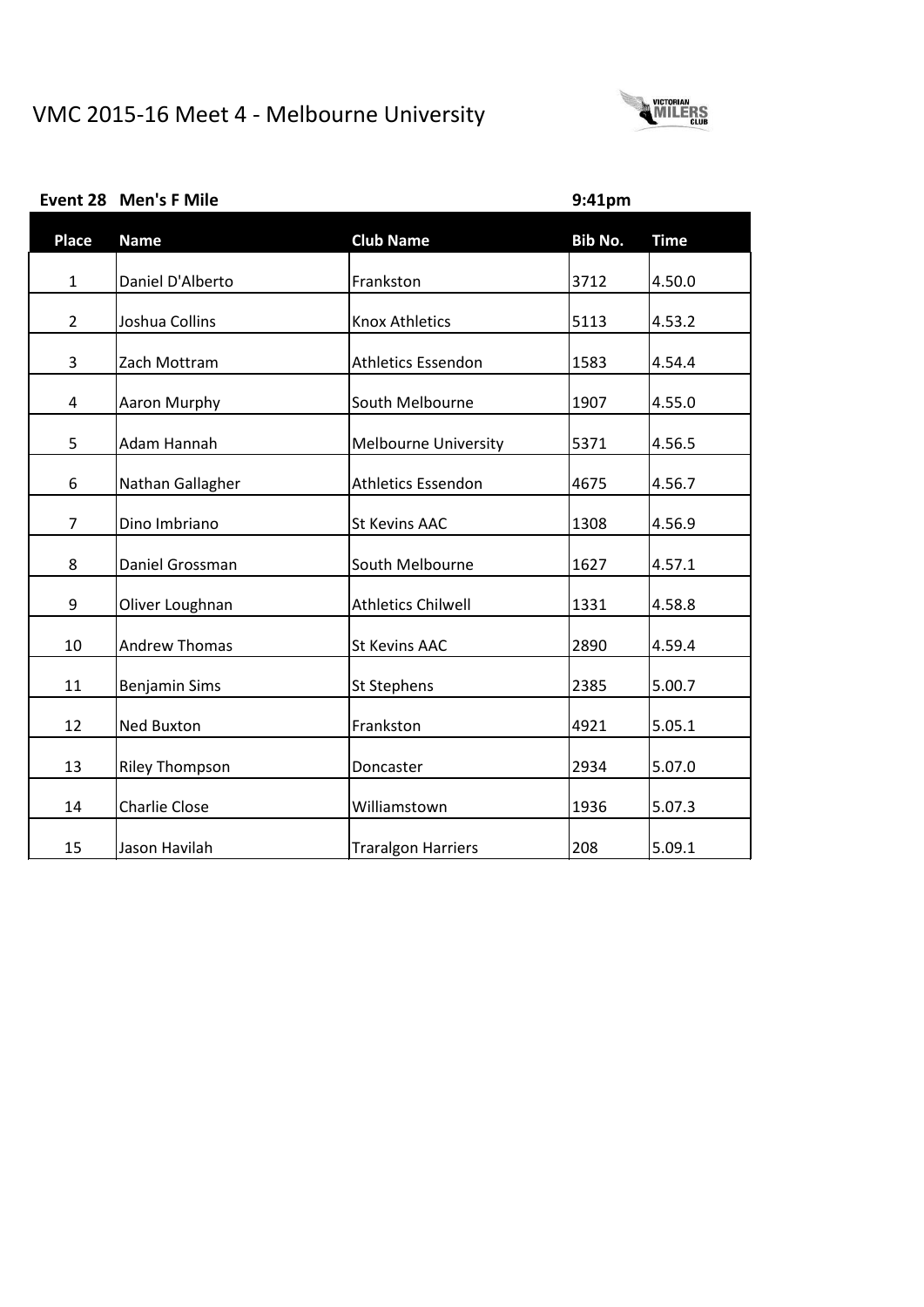**Event 28 Men's F Mile 9:41pm**



| <b>Place</b>   | <b>Name</b>           | <b>Club Name</b>            | Bib No. | <b>Time</b> |
|----------------|-----------------------|-----------------------------|---------|-------------|
| $\mathbf{1}$   | Daniel D'Alberto      | Frankston                   | 3712    | 4.50.0      |
| $\overline{2}$ | Joshua Collins        | <b>Knox Athletics</b>       | 5113    | 4.53.2      |
| 3              | Zach Mottram          | <b>Athletics Essendon</b>   | 1583    | 4.54.4      |
| 4              | Aaron Murphy          | South Melbourne             | 1907    | 4.55.0      |
| 5              | Adam Hannah           | <b>Melbourne University</b> | 5371    | 4.56.5      |
| 6              | Nathan Gallagher      | <b>Athletics Essendon</b>   | 4675    | 4.56.7      |
| $\overline{7}$ | Dino Imbriano         | <b>St Kevins AAC</b>        | 1308    | 4.56.9      |
| 8              | Daniel Grossman       | South Melbourne             | 1627    | 4.57.1      |
| 9              | Oliver Loughnan       | <b>Athletics Chilwell</b>   | 1331    | 4.58.8      |
| 10             | <b>Andrew Thomas</b>  | <b>St Kevins AAC</b>        | 2890    | 4.59.4      |
| 11             | <b>Benjamin Sims</b>  | <b>St Stephens</b>          | 2385    | 5.00.7      |
| 12             | <b>Ned Buxton</b>     | Frankston                   | 4921    | 5.05.1      |
| 13             | <b>Riley Thompson</b> | Doncaster                   | 2934    | 5.07.0      |
| 14             | <b>Charlie Close</b>  | Williamstown                | 1936    | 5.07.3      |
| 15             | Jason Havilah         | <b>Traralgon Harriers</b>   | 208     | 5.09.1      |